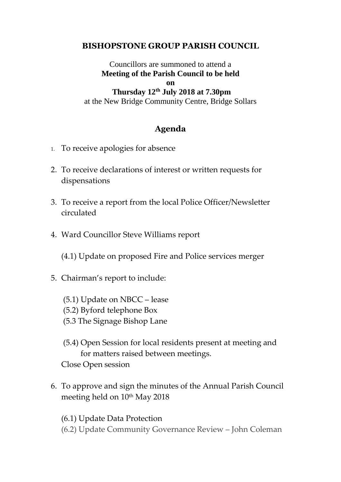## **BISHOPSTONE GROUP PARISH COUNCIL**

Councillors are summoned to attend a **Meeting of the Parish Council to be held on Thursday 12th July 2018 at 7.30pm**  at the New Bridge Community Centre, Bridge Sollars

## **Agenda**

- 1. To receive apologies for absence
- 2. To receive declarations of interest or written requests for dispensations
- 3. To receive a report from the local Police Officer/Newsletter circulated
- 4. Ward Councillor Steve Williams report

(4.1) Update on proposed Fire and Police services merger

- 5. Chairman's report to include:
	- (5.1) Update on NBCC lease
	- (5.2) Byford telephone Box
	- (5.3 The Signage Bishop Lane
	- (5.4) Open Session for local residents present at meeting and for matters raised between meetings. Close Open session
- 6. To approve and sign the minutes of the Annual Parish Council meeting held on 10<sup>th</sup> May 2018

(6.1) Update Data Protection (6.2) Update Community Governance Review – John Coleman